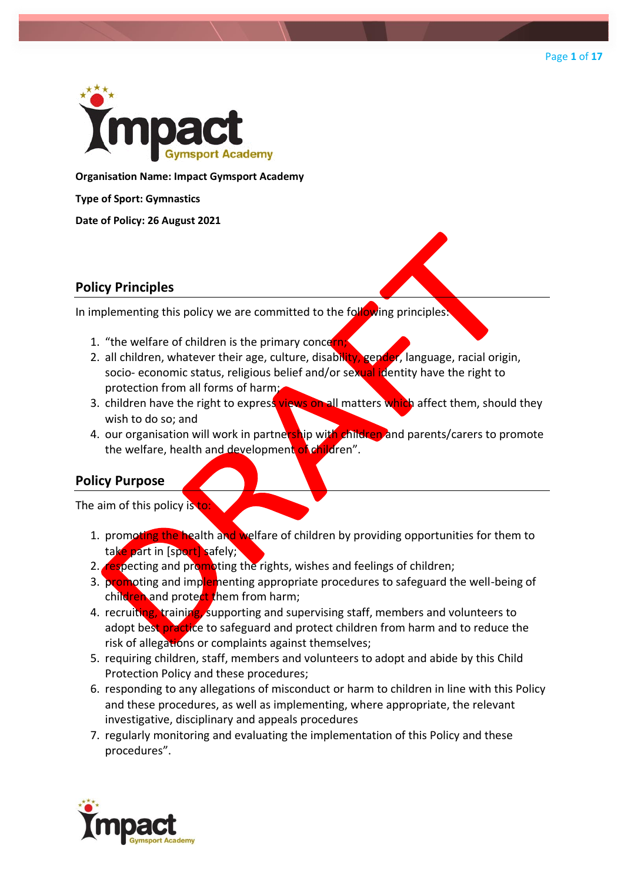



**Organisation Name: Impact Gymsport Academy**

**Type of Sport: Gymnastics**

**Date of Policy: 26 August 2021**

## **Policy Principles**

In implementing this policy we are committed to the following principles.

- 1. "the welfare of children is the primary concern
- 2. all children, whatever their age, culture, disability, gender, language, racial origin, socio- economic status, religious belief and/or sexual identity have the right to protection from all forms of harm;
- 3. children have the right to express views on all matters which affect them, should they wish to do so; and
- 4. our organisation will work in partnership with children and parents/carers to promote the welfare, health and development of children".

# **Policy Purpose**

The aim of this policy is to

- 1. promoting the health and welfare of children by providing opportunities for them to take part in [sport] safely;
- 2. respecting and promoting the rights, wishes and feelings of children;
- 3. promoting and implementing appropriate procedures to safeguard the well-being of children and protect them from harm;
- 4. recruiting, training, supporting and supervising staff, members and volunteers to adopt best practice to safeguard and protect children from harm and to reduce the risk of allegations or complaints against themselves;
- 5. requiring children, staff, members and volunteers to adopt and abide by this Child Protection Policy and these procedures;
- 6. responding to any allegations of misconduct or harm to children in line with this Policy and these procedures, as well as implementing, where appropriate, the relevant investigative, disciplinary and appeals procedures
- 7. regularly monitoring and evaluating the implementation of this Policy and these procedures".

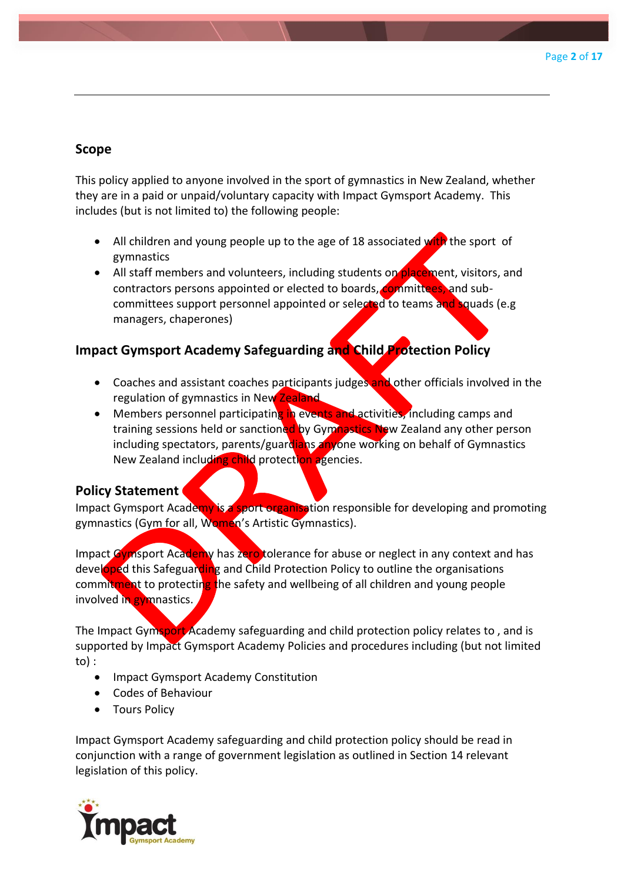# **Scope**

This policy applied to anyone involved in the sport of gymnastics in New Zealand, whether they are in a paid or unpaid/voluntary capacity with Impact Gymsport Academy. This includes (but is not limited to) the following people:

- All children and young people up to the age of 18 associated with the sport of gymnastics
- All staff members and volunteers, including students on placement, visitors, and contractors persons appointed or elected to boards, committees, and subcommittees support personnel appointed or selected to teams and squads (e.g managers, chaperones)

# **Impact Gymsport Academy Safeguarding and Child Protection Policy**

- Coaches and assistant coaches participants judges and other officials involved in the regulation of gymnastics in New Zealand
- Members personnel participating in events and activities, including camps and training sessions held or sanctioned by Gymnastics New Zealand any other person including spectators, parents/guardians anyone working on behalf of Gymnastics New Zealand including child protection agencies.

## **Policy Statement**

Impact Gymsport Academy is a sport organisation responsible for developing and promoting gymnastics (Gym for all, Women's Artistic Gymnastics).

Impact Gymsport Academy has zero tolerance for abuse or neglect in any context and has developed this Safeguarding and Child Protection Policy to outline the organisations commitment to protecting the safety and wellbeing of all children and young people involved in gymnastics.

The Impact Gymsport Academy safeguarding and child protection policy relates to, and is supported by Impact Gymsport Academy Policies and procedures including (but not limited to) :

- Impact Gymsport Academy Constitution
- Codes of Behaviour
- Tours Policy

Impact Gymsport Academy safeguarding and child protection policy should be read in conjunction with a range of government legislation as outlined in Section 14 relevant legislation of this policy.

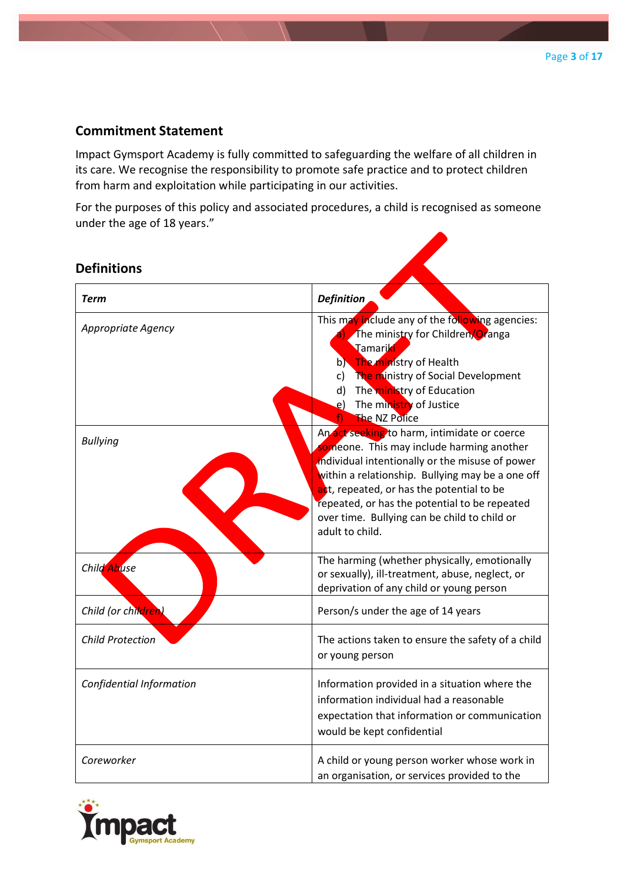## **Commitment Statement**

Impact Gymsport Academy is fully committed to safeguarding the welfare of all children in its care. We recognise the responsibility to promote safe practice and to protect children from harm and exploitation while participating in our activities.

For the purposes of this policy and associated procedures, a child is recognised as someone under the age of 18 years."

| <b>Definitions</b>       |                                                                                                                                                                                                                                                                                                                                                                   |
|--------------------------|-------------------------------------------------------------------------------------------------------------------------------------------------------------------------------------------------------------------------------------------------------------------------------------------------------------------------------------------------------------------|
| <b>Term</b>              | <b>Definition</b>                                                                                                                                                                                                                                                                                                                                                 |
| Appropriate Agency       | This may include any of the following agencies:<br>The ministry for Children/Oranga<br>Tamariki<br>b) The ministry of Health<br>The ministry of Social Development<br>c)<br>The ministry of Education<br>d)<br>The ministry of Justice<br>e)<br>The NZ Police                                                                                                     |
| <b>Bullying</b>          | An act seeking to harm, intimidate or coerce<br>someone. This may include harming another<br>individual intentionally or the misuse of power<br>within a relationship. Bullying may be a one off<br>act, repeated, or has the potential to be<br>repeated, or has the potential to be repeated<br>over time. Bullying can be child to child or<br>adult to child. |
| Child Abuse              | The harming (whether physically, emotionally<br>or sexually), ill-treatment, abuse, neglect, or<br>deprivation of any child or young person                                                                                                                                                                                                                       |
| Child (or children)      | Person/s under the age of 14 years                                                                                                                                                                                                                                                                                                                                |
| <b>Child Protection</b>  | The actions taken to ensure the safety of a child<br>or young person                                                                                                                                                                                                                                                                                              |
| Confidential Information | Information provided in a situation where the<br>information individual had a reasonable<br>expectation that information or communication<br>would be kept confidential                                                                                                                                                                                           |
| Coreworker               | A child or young person worker whose work in<br>an organisation, or services provided to the                                                                                                                                                                                                                                                                      |

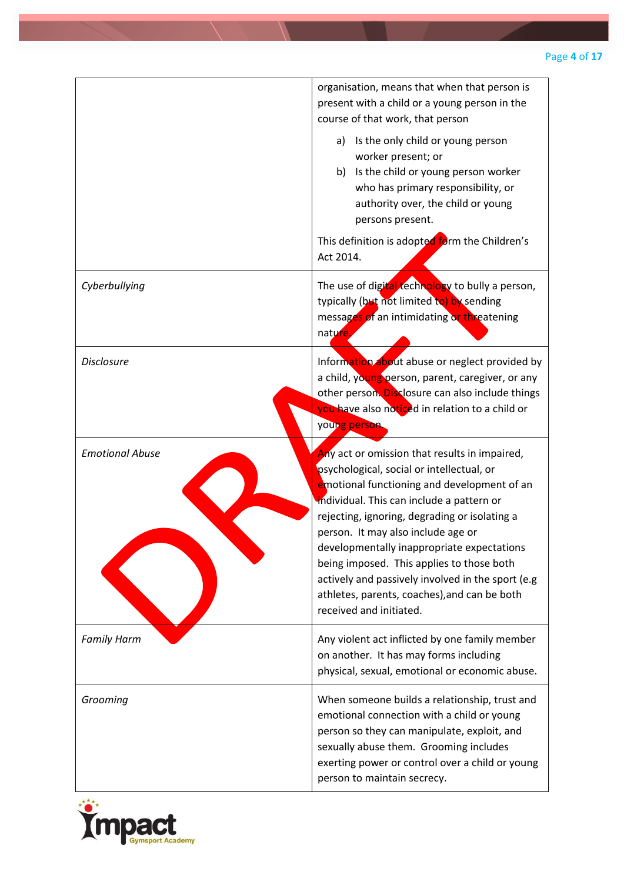|                        | organisation, means that when that person is<br>present with a child or a young person in the<br>course of that work, that person                                                                                                                                                                                                                                                                                                                                                                        |
|------------------------|----------------------------------------------------------------------------------------------------------------------------------------------------------------------------------------------------------------------------------------------------------------------------------------------------------------------------------------------------------------------------------------------------------------------------------------------------------------------------------------------------------|
|                        | Is the only child or young person<br>a)<br>worker present; or<br>Is the child or young person worker<br>b)<br>who has primary responsibility, or<br>authority over, the child or young<br>persons present.                                                                                                                                                                                                                                                                                               |
|                        | This definition is adopted form the Children's<br>Act 2014.                                                                                                                                                                                                                                                                                                                                                                                                                                              |
| Cyberbullying          | The use of digital technology to bully a person,<br>typically (but not limited to) by sending<br>messages of an intimidating or threatening<br>nature.                                                                                                                                                                                                                                                                                                                                                   |
| <b>Disclosure</b>      | Information about abuse or neglect provided by<br>a child, young person, parent, caregiver, or any<br>other person. Disclosure can also include things<br>you have also noticed in relation to a child or<br>young person.                                                                                                                                                                                                                                                                               |
| <b>Emotional Abuse</b> | Any act or omission that results in impaired,<br>psychological, social or intellectual, or<br>emotional functioning and development of an<br>individual. This can include a pattern or<br>rejecting, ignoring, degrading or isolating a<br>person. It may also include age or<br>developmentally inappropriate expectations<br>being imposed. This applies to those both<br>actively and passively involved in the sport (e.g<br>athletes, parents, coaches), and can be both<br>received and initiated. |
| <b>Family Harm</b>     | Any violent act inflicted by one family member<br>on another. It has may forms including<br>physical, sexual, emotional or economic abuse.                                                                                                                                                                                                                                                                                                                                                               |
| Grooming               | When someone builds a relationship, trust and<br>emotional connection with a child or young<br>person so they can manipulate, exploit, and<br>sexually abuse them. Grooming includes<br>exerting power or control over a child or young<br>person to maintain secrecy.                                                                                                                                                                                                                                   |

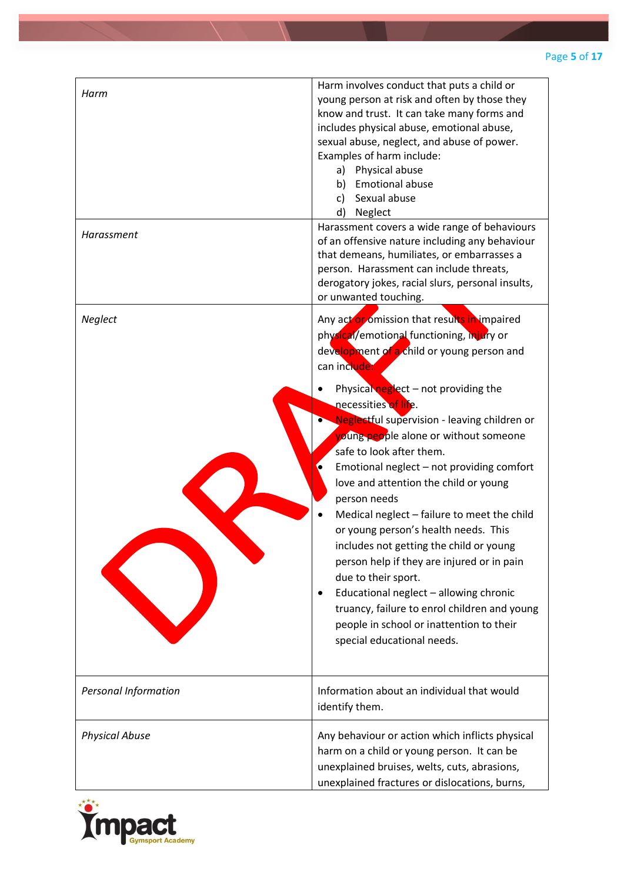| Harm<br>Harassment    | Harm involves conduct that puts a child or<br>young person at risk and often by those they<br>know and trust. It can take many forms and<br>includes physical abuse, emotional abuse,<br>sexual abuse, neglect, and abuse of power.<br>Examples of harm include:<br>Physical abuse<br>a)<br><b>Emotional abuse</b><br>b)<br>Sexual abuse<br>c)<br>d)<br>Neglect<br>Harassment covers a wide range of behaviours<br>of an offensive nature including any behaviour<br>that demeans, humiliates, or embarrasses a<br>person. Harassment can include threats,                                                                                                                                                                                                                                                                                 |
|-----------------------|--------------------------------------------------------------------------------------------------------------------------------------------------------------------------------------------------------------------------------------------------------------------------------------------------------------------------------------------------------------------------------------------------------------------------------------------------------------------------------------------------------------------------------------------------------------------------------------------------------------------------------------------------------------------------------------------------------------------------------------------------------------------------------------------------------------------------------------------|
|                       | derogatory jokes, racial slurs, personal insults,<br>or unwanted touching.                                                                                                                                                                                                                                                                                                                                                                                                                                                                                                                                                                                                                                                                                                                                                                 |
| Neglect               | Any act or omission that results in impaired<br>physical/emotional functioning, injury or<br>development of a child or young person and<br>can include:<br>Physical neglect - not providing the<br>necessities of life.<br>Neglectful supervision - leaving children or<br>voung people alone or without someone<br>safe to look after them.<br>Emotional neglect - not providing comfort<br>love and attention the child or young<br>person needs<br>Medical neglect - failure to meet the child<br>or young person's health needs. This<br>includes not getting the child or young<br>person help if they are injured or in pain<br>due to their sport.<br>Educational neglect - allowing chronic<br>$\bullet$<br>truancy, failure to enrol children and young<br>people in school or inattention to their<br>special educational needs. |
| Personal Information  | Information about an individual that would<br>identify them.                                                                                                                                                                                                                                                                                                                                                                                                                                                                                                                                                                                                                                                                                                                                                                               |
| <b>Physical Abuse</b> | Any behaviour or action which inflicts physical<br>harm on a child or young person. It can be<br>unexplained bruises, welts, cuts, abrasions,<br>unexplained fractures or dislocations, burns,                                                                                                                                                                                                                                                                                                                                                                                                                                                                                                                                                                                                                                             |

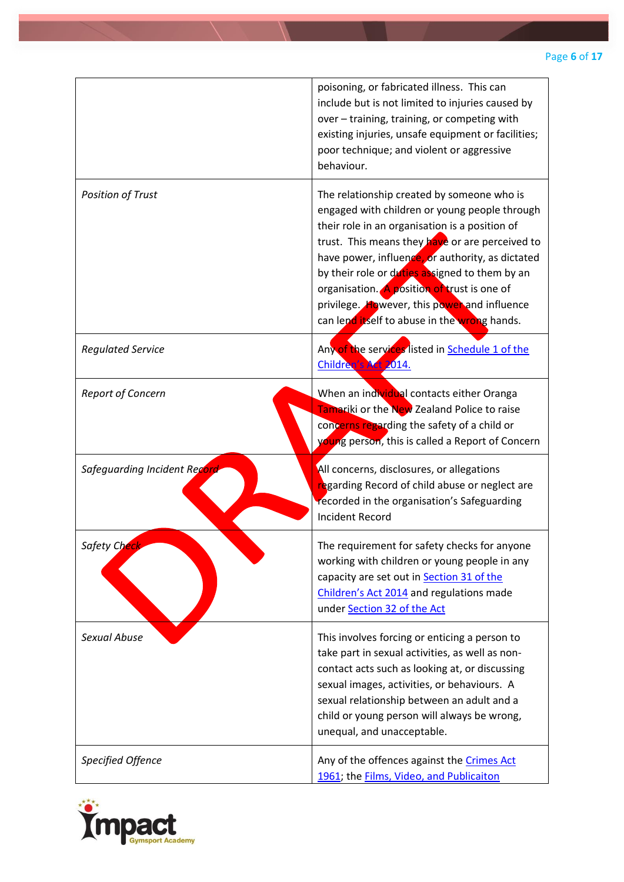|                              | poisoning, or fabricated illness. This can<br>include but is not limited to injuries caused by<br>over - training, training, or competing with<br>existing injuries, unsafe equipment or facilities;<br>poor technique; and violent or aggressive<br>behaviour.                                                                                                                                                                                       |
|------------------------------|-------------------------------------------------------------------------------------------------------------------------------------------------------------------------------------------------------------------------------------------------------------------------------------------------------------------------------------------------------------------------------------------------------------------------------------------------------|
| <b>Position of Trust</b>     | The relationship created by someone who is<br>engaged with children or young people through<br>their role in an organisation is a position of<br>trust. This means they have or are perceived to<br>have power, influence, or authority, as dictated<br>by their role or duties assigned to them by an<br>organisation. A position of trust is one of<br>privilege. However, this power and influence<br>can lend itself to abuse in the wrong hands. |
| <b>Regulated Service</b>     | Any of the services listed in Schedule 1 of the<br>Children's Act 2014.                                                                                                                                                                                                                                                                                                                                                                               |
| <b>Report of Concern</b>     | When an individual contacts either Oranga<br>Tamariki or the New Zealand Police to raise<br>concerns regarding the safety of a child or<br>young person, this is called a Report of Concern                                                                                                                                                                                                                                                           |
| Safeguarding Incident Record | All concerns, disclosures, or allegations<br>regarding Record of child abuse or neglect are<br>recorded in the organisation's Safeguarding<br><b>Incident Record</b>                                                                                                                                                                                                                                                                                  |
| Safety Ch <mark>éck</mark>   | The requirement for safety checks for anyone<br>working with children or young people in any<br>capacity are set out in Section 31 of the<br>Children's Act 2014 and regulations made<br>under Section 32 of the Act                                                                                                                                                                                                                                  |
| <b>Sexual Abuse</b>          | This involves forcing or enticing a person to<br>take part in sexual activities, as well as non-<br>contact acts such as looking at, or discussing<br>sexual images, activities, or behaviours. A<br>sexual relationship between an adult and a<br>child or young person will always be wrong,<br>unequal, and unacceptable.                                                                                                                          |
| Specified Offence            | Any of the offences against the Crimes Act<br>1961; the <b>Films</b> , Video, and Publicaiton                                                                                                                                                                                                                                                                                                                                                         |

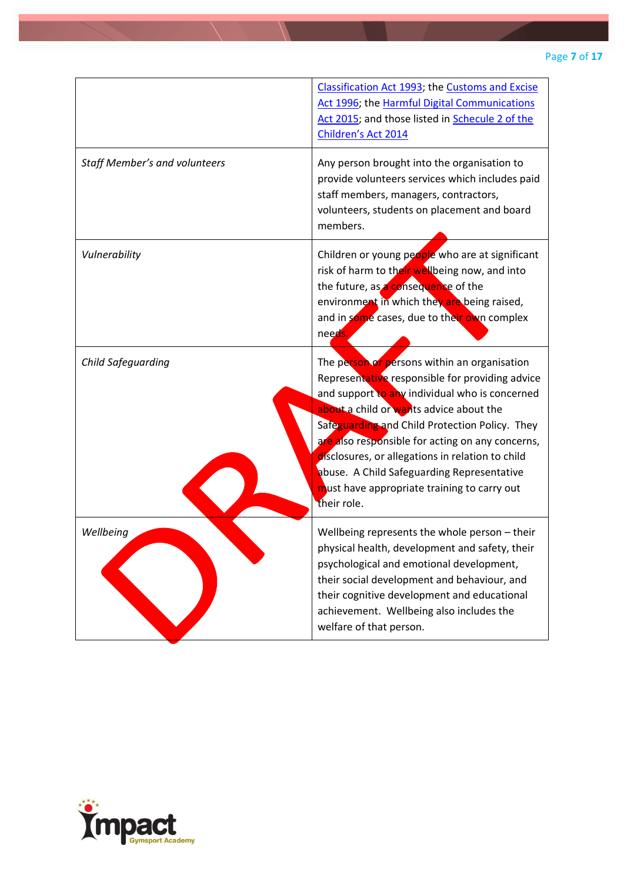|                                      | Classification Act 1993; the Customs and Excise<br>Act 1996; the Harmful Digital Communications<br>Act 2015; and those listed in Schecule 2 of the<br>Children's Act 2014                                                                                                                                                                                                                                                                                          |
|--------------------------------------|--------------------------------------------------------------------------------------------------------------------------------------------------------------------------------------------------------------------------------------------------------------------------------------------------------------------------------------------------------------------------------------------------------------------------------------------------------------------|
| <b>Staff Member's and volunteers</b> | Any person brought into the organisation to<br>provide volunteers services which includes paid<br>staff members, managers, contractors,<br>volunteers, students on placement and board<br>members.                                                                                                                                                                                                                                                                 |
| Vulnerability                        | Children or young people who are at significant<br>risk of harm to their wellbeing now, and into<br>the future, as a consequence of the<br>environment in which they are being raised,<br>and in some cases, due to their own complex<br>needs.                                                                                                                                                                                                                    |
| Child Safeguarding                   | The person or persons within an organisation<br>Representative responsible for providing advice<br>and support to any individual who is concerned<br>about a child or wants advice about the<br>Safeguarding and Child Protection Policy. They<br>are also responsible for acting on any concerns,<br>disclosures, or allegations in relation to child<br>abuse. A Child Safeguarding Representative<br>must have appropriate training to carry out<br>their role. |
| Wellbeing                            | Wellbeing represents the whole person - their<br>physical health, development and safety, their<br>psychological and emotional development,<br>their social development and behaviour, and<br>their cognitive development and educational<br>achievement. Wellbeing also includes the<br>welfare of that person.                                                                                                                                                   |

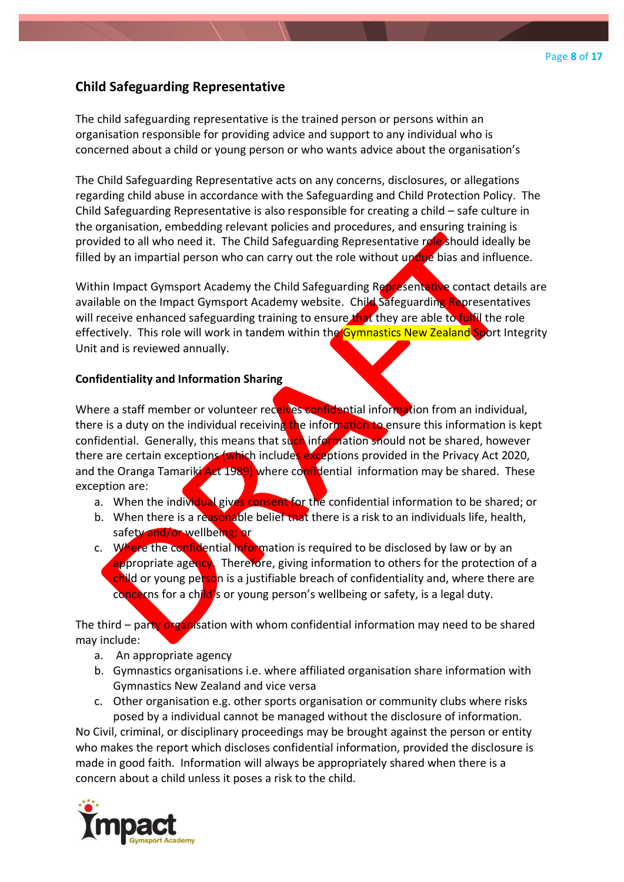# **Child Safeguarding Representative**

The child safeguarding representative is the trained person or persons within an organisation responsible for providing advice and support to any individual who is concerned about a child or young person or who wants advice about the organisation's

The Child Safeguarding Representative acts on any concerns, disclosures, or allegations regarding child abuse in accordance with the Safeguarding and Child Protection Policy. The Child Safeguarding Representative is also responsible for creating a child – safe culture in the organisation, embedding relevant policies and procedures, and ensuring training is provided to all who need it. The Child Safeguarding Representative role should ideally be filled by an impartial person who can carry out the role without undue bias and influence.

Within Impact Gymsport Academy the Child Safeguarding Representative contact details are available on the Impact Gymsport Academy website. Child Safeguarding Representatives will receive enhanced safeguarding training to ensure that they are able to fulfil the role effectively. This role will work in tandem within the Gymnastics New Zealand Sport Integrity Unit and is reviewed annually.

#### **Confidentiality and Information Sharing**

Where a staff member or volunteer receives confidential information from an individual, there is a duty on the individual receiving the information to ensure this information is kept confidential. Generally, this means that such information should not be shared, however there are certain exceptions (which includes exceptions provided in the Privacy Act 2020, and the Oranga Tamariki Act 1989) where confidential information may be shared. These exception are:

- a. When the individual gives consent for the confidential information to be shared; or
- b. When there is a reasonable belief that there is a risk to an individuals life, health, safety and/or wellbeing; or
- c. Where the confidential information is required to be disclosed by law or by an appropriate agency. Therefore, giving information to others for the protection of a child or young person is a justifiable breach of confidentiality and, where there are concerns for a child's or young person's wellbeing or safety, is a legal duty.

The third – party organisation with whom confidential information may need to be shared may include:

- a. An appropriate agency
- b. Gymnastics organisations i.e. where affiliated organisation share information with Gymnastics New Zealand and vice versa
- c. Other organisation e.g. other sports organisation or community clubs where risks posed by a individual cannot be managed without the disclosure of information.

No Civil, criminal, or disciplinary proceedings may be brought against the person or entity who makes the report which discloses confidential information, provided the disclosure is made in good faith. Information will always be appropriately shared when there is a concern about a child unless it poses a risk to the child.

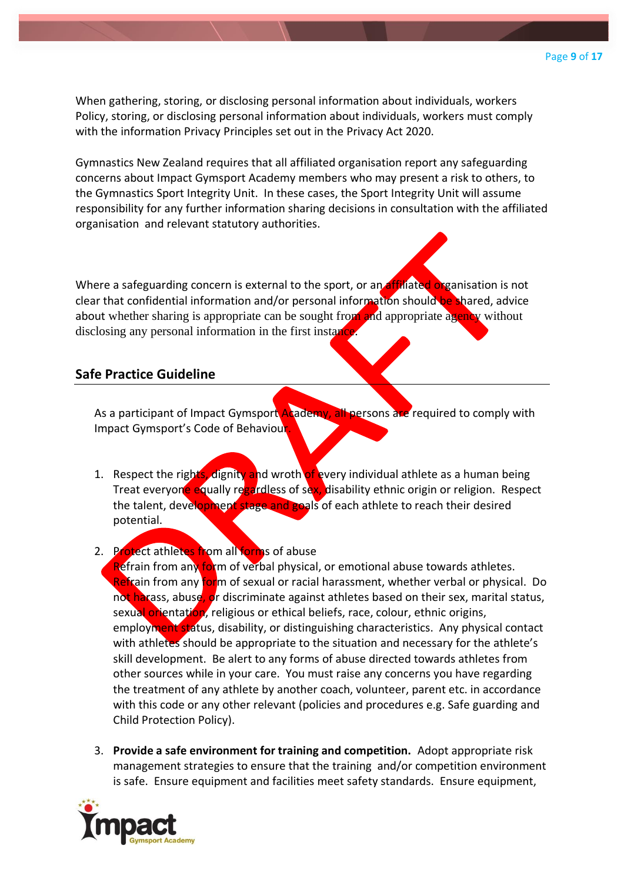When gathering, storing, or disclosing personal information about individuals, workers Policy, storing, or disclosing personal information about individuals, workers must comply with the information Privacy Principles set out in the Privacy Act 2020.

Gymnastics New Zealand requires that all affiliated organisation report any safeguarding concerns about Impact Gymsport Academy members who may present a risk to others, to the Gymnastics Sport Integrity Unit. In these cases, the Sport Integrity Unit will assume responsibility for any further information sharing decisions in consultation with the affiliated organisation and relevant statutory authorities.

Where a safeguarding concern is external to the sport, or an affiliated organisation is not clear that confidential information and/or personal information should be shared, advice about whether sharing is appropriate can be sought from and appropriate agency without disclosing any personal information in the first instance.

## **Safe Practice Guideline**

As a participant of Impact Gymsport Academy, all persons are required to comply with Impact Gymsport's Code of Behaviour.

1. Respect the rights, dignity and wroth of every individual athlete as a human being Treat everyone equally regardless of sex, disability ethnic origin or religion. Respect the talent, development stage and goals of each athlete to reach their desired potential.

#### 2. Protect athletes from all forms of abuse

Refrain from any form of verbal physical, or emotional abuse towards athletes. Refrain from any form of sexual or racial harassment, whether verbal or physical. Do not harass, abuse, or discriminate against athletes based on their sex, marital status, sexual orientation, religious or ethical beliefs, race, colour, ethnic origins, employment status, disability, or distinguishing characteristics. Any physical contact with athletes should be appropriate to the situation and necessary for the athlete's skill development. Be alert to any forms of abuse directed towards athletes from other sources while in your care. You must raise any concerns you have regarding the treatment of any athlete by another coach, volunteer, parent etc. in accordance with this code or any other relevant (policies and procedures e.g. Safe guarding and Child Protection Policy).

3. **Provide a safe environment for training and competition.** Adopt appropriate risk management strategies to ensure that the training and/or competition environment is safe. Ensure equipment and facilities meet safety standards. Ensure equipment,

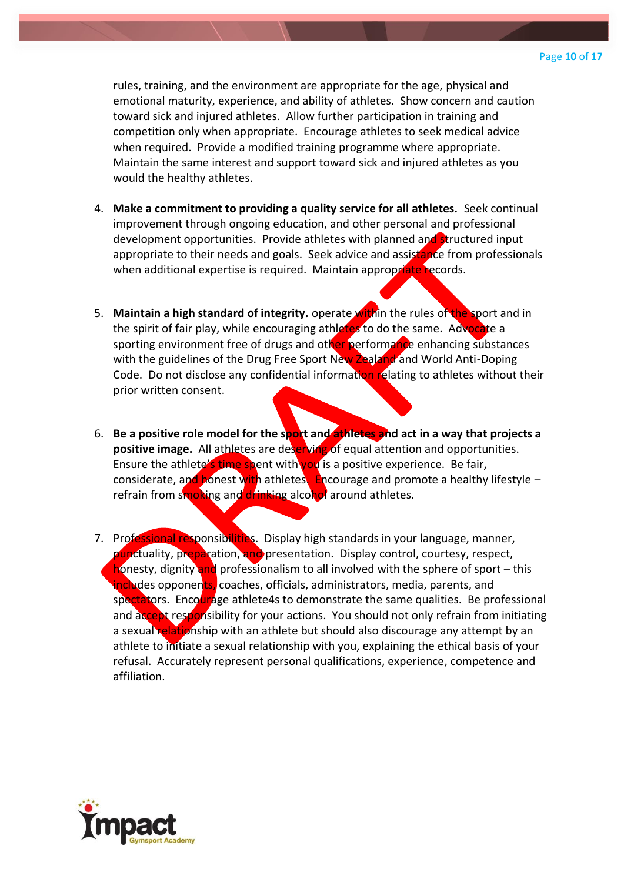rules, training, and the environment are appropriate for the age, physical and emotional maturity, experience, and ability of athletes. Show concern and caution toward sick and injured athletes. Allow further participation in training and competition only when appropriate. Encourage athletes to seek medical advice when required. Provide a modified training programme where appropriate. Maintain the same interest and support toward sick and injured athletes as you would the healthy athletes.

- 4. **Make a commitment to providing a quality service for all athletes.** Seek continual improvement through ongoing education, and other personal and professional development opportunities. Provide athletes with planned and structured input appropriate to their needs and goals. Seek advice and assistance from professionals when additional expertise is required. Maintain appropriate records.
- 5. **Maintain a high standard of integrity.** operate within the rules of the sport and in the spirit of fair play, while encouraging athletes to do the same. Advocate a sporting environment free of drugs and other performance enhancing substances with the guidelines of the Drug Free Sport New Zealand and World Anti-Doping Code. Do not disclose any confidential information relating to athletes without their prior written consent.
- 6. **Be a positive role model for the sport and athletes and act in a way that projects a positive image.** All athletes are deserving of equal attention and opportunities. Ensure the athlete's time spent with you is a positive experience. Be fair, considerate, and honest with athletes. Encourage and promote a healthy lifestyle – refrain from smoking and drinking alcohol around athletes.
- 7. Professional responsibilities. Display high standards in your language, manner, punctuality, preparation, and presentation. Display control, courtesy, respect, honesty, dignity and professionalism to all involved with the sphere of sport – this includes opponents, coaches, officials, administrators, media, parents, and spectators. Encourage athlete4s to demonstrate the same qualities. Be professional and accept responsibility for your actions. You should not only refrain from initiating a sexual relationship with an athlete but should also discourage any attempt by an athlete to initiate a sexual relationship with you, explaining the ethical basis of your refusal. Accurately represent personal qualifications, experience, competence and affiliation.

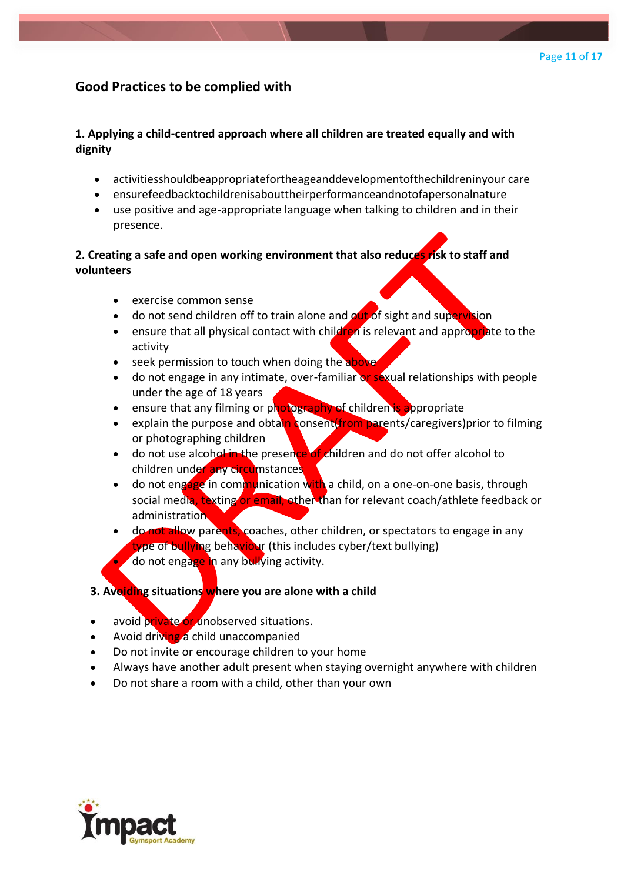## **Good Practices to be complied with**

## **1. Applying a child-centred approach where all children are treated equally and with dignity**

- activitiesshouldbeappropriatefortheageanddevelopmentofthechildreninyour care
- ensurefeedbacktochildrenisabouttheirperformanceandnotofapersonalnature
- use positive and age-appropriate language when talking to children and in their presence.

## **2. Creating a safe and open working environment that also reduces risk to staff and volunteers**

- exercise common sense
- do not send children off to train alone and  $\omega t$  of sight and supervision
- ensure that all physical contact with children is relevant and appropriate to the activity
- seek permission to touch when doing the above
- do not engage in any intimate, over-familiar or sexual relationships with people under the age of 18 years
- ensure that any filming or photography of children is appropriate
- explain the purpose and obtain consent(from parents/caregivers) prior to filming or photographing children
- do not use alcohol in the presence of children and do not offer alcohol to children under any circumstances
- do not engage in communication with a child, on a one-on-one basis, through social media, texting or email, other than for relevant coach/athlete feedback or administration
- do not allow parents, coaches, other children, or spectators to engage in any type of bullying behaviour (this includes cyber/text bullying) • do not engage in any bullying activity.

## **3. Avoiding situations where you are alone with a child**

- avoid private or unobserved situations.
- Avoid driving a child unaccompanied
- Do not invite or encourage children to your home
- Always have another adult present when staying overnight anywhere with children
- Do not share a room with a child, other than your own

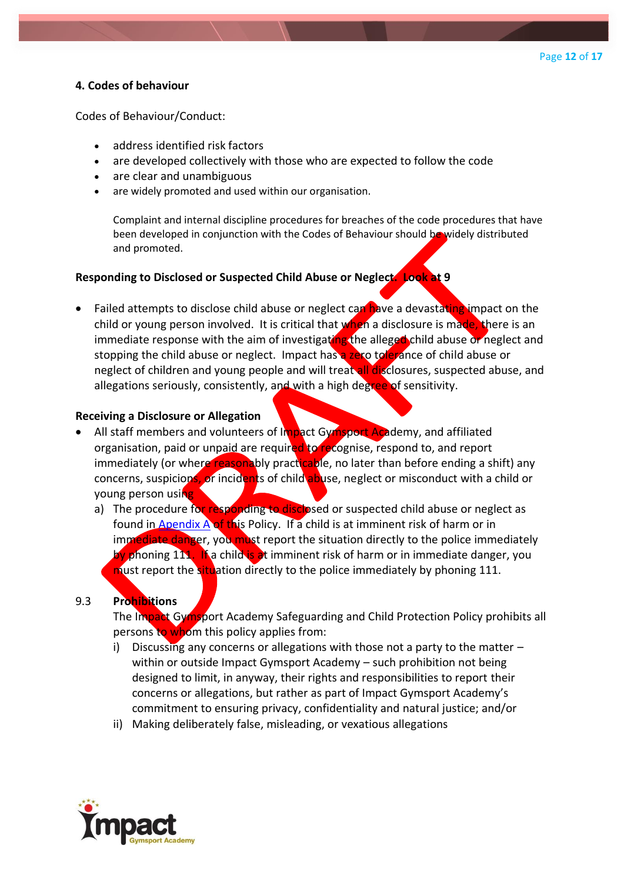#### **4. Codes of behaviour**

Codes of Behaviour/Conduct:

- address identified risk factors
- are developed collectively with those who are expected to follow the code
- are clear and unambiguous
- are widely promoted and used within our organisation.

Complaint and internal discipline procedures for breaches of the code procedures that have been developed in conjunction with the Codes of Behaviour should be widely distributed and promoted.

#### **Responding to Disclosed or Suspected Child Abuse or Neglect. Look at 9**

Failed attempts to disclose child abuse or neglect can have a devastating impact on the child or young person involved. It is critical that when a disclosure is made, there is an immediate response with the aim of investigating the alleged child abuse or neglect and stopping the child abuse or neglect. Impact has a zero tolerance of child abuse or neglect of children and young people and will treat all disclosures, suspected abuse, and allegations seriously, consistently, and with a high degree of sensitivity.

#### **Receiving a Disclosure or Allegation**

- All staff members and volunteers of Impact Gymsport Academy, and affiliated organisation, paid or unpaid are required to recognise, respond to, and report immediately (or where reasonably practicable, no later than before ending a shift) any concerns, suspicions, or incidents of child abuse, neglect or misconduct with a child or young person using
	- a) The procedure for responding to disclosed or suspected child abuse or neglect as found in [Apendix A](/Users/sharlenematthews/Dropbox/Impact/Policies,%20procedures%20and%20forms/Child%20Safety%20Policy/Appendix%20A.docx) of this Policy. If a child is at imminent risk of harm or in immediate danger, you must report the situation directly to the police immediately by phoning 111. If a child is at imminent risk of harm or in immediate danger, you must report the situation directly to the police immediately by phoning 111.

#### 9.3 **Prohibitions**

The Impact Gymsport Academy Safeguarding and Child Protection Policy prohibits all persons to whom this policy applies from:

- i) Discussing any concerns or allegations with those not a party to the matter  $$ within or outside Impact Gymsport Academy – such prohibition not being designed to limit, in anyway, their rights and responsibilities to report their concerns or allegations, but rather as part of Impact Gymsport Academy's commitment to ensuring privacy, confidentiality and natural justice; and/or
- ii) Making deliberately false, misleading, or vexatious allegations

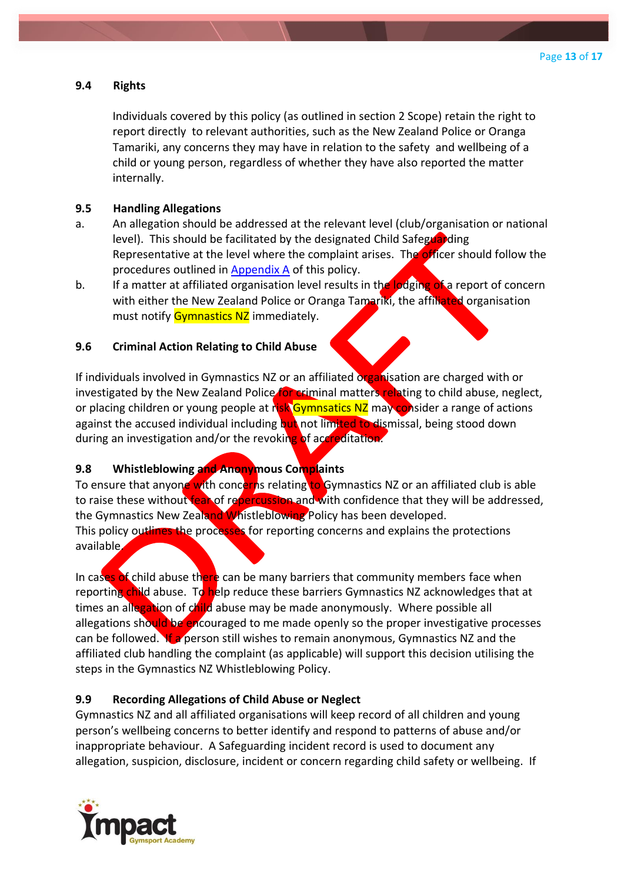#### **9.4 Rights**

Individuals covered by this policy (as outlined in section 2 Scope) retain the right to report directly to relevant authorities, such as the New Zealand Police or Oranga Tamariki, any concerns they may have in relation to the safety and wellbeing of a child or young person, regardless of whether they have also reported the matter internally.

#### **9.5 Handling Allegations**

- a. An allegation should be addressed at the relevant level (club/organisation or national level). This should be facilitated by the designated Child Safeguarding Representative at the level where the complaint arises. The officer should follow the procedures outlined in [Appendix A](/Users/sharlenematthews/Dropbox/Impact/Policies,%20procedures%20and%20forms/Child%20Safety%20Policy/Appendix%20A.docx) of this policy.
- b. If a matter at affiliated organisation level results in the lodging of a report of concern with either the New Zealand Police or Oranga Tamariki, the affiliated organisation must notify Gymnastics NZ immediately.

#### **9.6 Criminal Action Relating to Child Abuse**

If individuals involved in Gymnastics NZ or an affiliated organisation are charged with or investigated by the New Zealand Police for criminal matters relating to child abuse, neglect, or placing children or young people at risk Gymnsatics NZ may consider a range of actions against the accused individual including but not limited to dismissal, being stood down during an investigation and/or the revoking of accreditation.

#### **9.8 Whistleblowing and Anonymous Complaints**

To ensure that anyone with concerns relating to Gymnastics NZ or an affiliated club is able to raise these without fear of repercussion and with confidence that they will be addressed, the Gymnastics New Zealand Whistleblowing Policy has been developed. This policy outlines the processes for reporting concerns and explains the protections available.

In cases of child abuse there can be many barriers that community members face when reporting child abuse. To help reduce these barriers Gymnastics NZ acknowledges that at times an allegation of child abuse may be made anonymously. Where possible all allegations should be encouraged to me made openly so the proper investigative processes can be followed. If a person still wishes to remain anonymous, Gymnastics NZ and the affiliated club handling the complaint (as applicable) will support this decision utilising the steps in the Gymnastics NZ Whistleblowing Policy.

## **9.9 Recording Allegations of Child Abuse or Neglect**

Gymnastics NZ and all affiliated organisations will keep record of all children and young person's wellbeing concerns to better identify and respond to patterns of abuse and/or inappropriate behaviour. A Safeguarding incident record is used to document any allegation, suspicion, disclosure, incident or concern regarding child safety or wellbeing. If

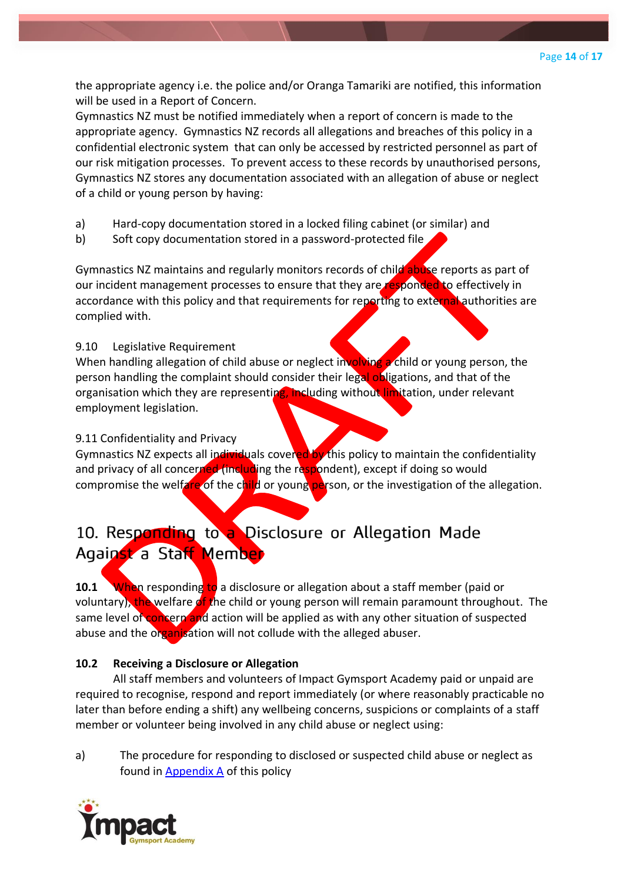the appropriate agency i.e. the police and/or Oranga Tamariki are notified, this information will be used in a Report of Concern.

Gymnastics NZ must be notified immediately when a report of concern is made to the appropriate agency. Gymnastics NZ records all allegations and breaches of this policy in a confidential electronic system that can only be accessed by restricted personnel as part of our risk mitigation processes. To prevent access to these records by unauthorised persons, Gymnastics NZ stores any documentation associated with an allegation of abuse or neglect of a child or young person by having:

- a) Hard-copy documentation stored in a locked filing cabinet (or similar) and
- b) Soft copy documentation stored in a password-protected file

Gymnastics NZ maintains and regularly monitors records of child abuse reports as part of our incident management processes to ensure that they are responded to effectively in accordance with this policy and that requirements for reporting to external authorities are complied with.

## 9.10 Legislative Requirement

When handling allegation of child abuse or neglect involving a child or young person, the person handling the complaint should consider their legal obligations, and that of the organisation which they are representing, including without limitation, under relevant employment legislation.

#### 9.11 Confidentiality and Privacy

Gymnastics NZ expects all individuals covered by this policy to maintain the confidentiality and privacy of all concerned (including the respondent), except if doing so would compromise the welfare of the child or young person, or the investigation of the allegation.

# 10. Responding to a Disclosure or Allegation Made Against a Staff Member

**10.1** When responding to a disclosure or allegation about a staff member (paid or voluntary), the welfare of the child or young person will remain paramount throughout. The same level of concern and action will be applied as with any other situation of suspected abuse and the organisation will not collude with the alleged abuser.

## **10.2 Receiving a Disclosure or Allegation**

All staff members and volunteers of Impact Gymsport Academy paid or unpaid are required to recognise, respond and report immediately (or where reasonably practicable no later than before ending a shift) any wellbeing concerns, suspicions or complaints of a staff member or volunteer being involved in any child abuse or neglect using:

a) The procedure for responding to disclosed or suspected child abuse or neglect as found in [Appendix A](/Users/sharlenematthews/Dropbox/Impact/Policies,%20procedures%20and%20forms/Child%20Safety%20Policy/Appendix%20A.docx) of this policy

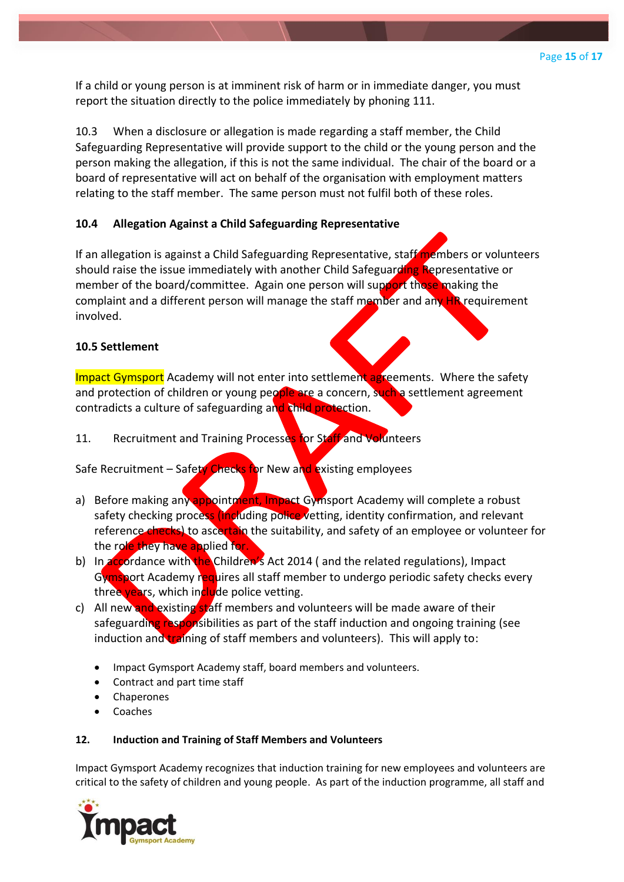If a child or young person is at imminent risk of harm or in immediate danger, you must report the situation directly to the police immediately by phoning 111.

10.3 When a disclosure or allegation is made regarding a staff member, the Child Safeguarding Representative will provide support to the child or the young person and the person making the allegation, if this is not the same individual. The chair of the board or a board of representative will act on behalf of the organisation with employment matters relating to the staff member. The same person must not fulfil both of these roles.

## **10.4 Allegation Against a Child Safeguarding Representative**

If an allegation is against a Child Safeguarding Representative, staff members or volunteers should raise the issue immediately with another Child Safeguarding Representative or member of the board/committee. Again one person will support those making the complaint and a different person will manage the staff member and any HR requirement involved.

#### **10.5 Settlement**

Impact Gymsport Academy will not enter into settlement agreements. Where the safety and protection of children or young people are a concern, such a settlement agreement contradicts a culture of safeguarding and child protection.

## 11. Recruitment and Training Processes for Staff and Volunteers

Safe Recruitment – Safety Checks for New and existing employees

- a) Before making any appointment, Impact Gymsport Academy will complete a robust safety checking process (including police vetting, identity confirmation, and relevant reference checks) to ascertain the suitability, and safety of an employee or volunteer for the role they have applied for.
- b) In accordance with the Children's Act 2014 (and the related regulations), Impact Gymsport Academy requires all staff member to undergo periodic safety checks every three years, which include police vetting.
- c) All new and existing staff members and volunteers will be made aware of their safeguarding responsibilities as part of the staff induction and ongoing training (see induction and training of staff members and volunteers). This will apply to:
	- Impact Gymsport Academy staff, board members and volunteers.
	- Contract and part time staff
	- Chaperones
	- Coaches

#### **12. Induction and Training of Staff Members and Volunteers**

Impact Gymsport Academy recognizes that induction training for new employees and volunteers are critical to the safety of children and young people. As part of the induction programme, all staff and

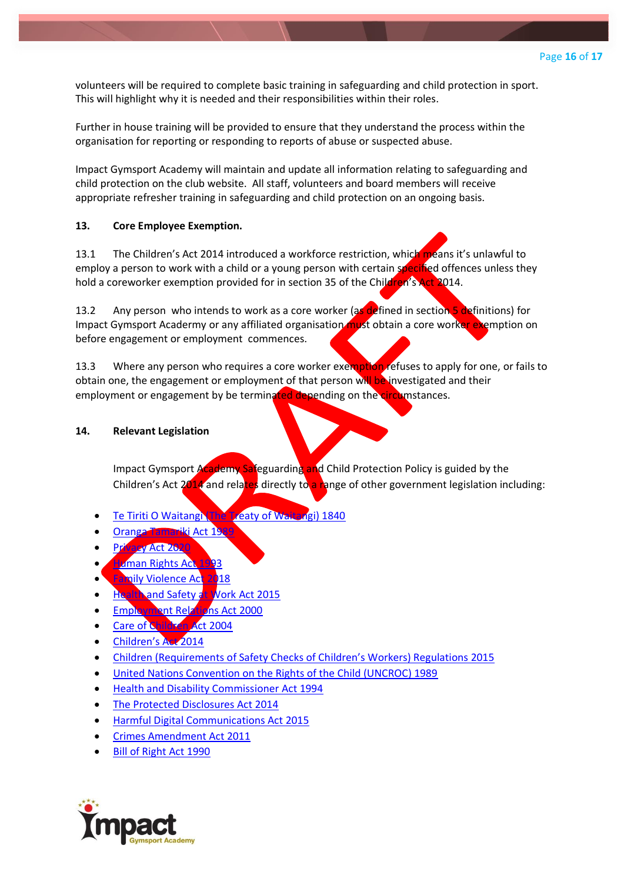volunteers will be required to complete basic training in safeguarding and child protection in sport. This will highlight why it is needed and their responsibilities within their roles.

Further in house training will be provided to ensure that they understand the process within the organisation for reporting or responding to reports of abuse or suspected abuse.

Impact Gymsport Academy will maintain and update all information relating to safeguarding and child protection on the club website. All staff, volunteers and board members will receive appropriate refresher training in safeguarding and child protection on an ongoing basis.

#### **13. Core Employee Exemption.**

13.1 The Children's Act 2014 introduced a workforce restriction, which means it's unlawful to employ a person to work with a child or a young person with certain specified offences unless they hold a coreworker exemption provided for in section 35 of the Children's Act 2014.

13.2 Any person who intends to work as a core worker (as defined in section 5 definitions) for Impact Gymsport Acadermy or any affiliated organisation must obtain a core worker exemption on before engagement or employment commences.

13.3 Where any person who requires a core worker exemption refuses to apply for one, or fails to obtain one, the engagement or employment of that person will be investigated and their employment or engagement by be terminated depending on the circumstances.

#### **14. Relevant Legislation**

Impact Gymsport Academy Safeguarding and Child Protection Policy is guided by the Children's Act  $2014$  and relates directly to a range of other government legislation including:

- [Te Tiriti O Waitangi \(The Treaty of Waitangi\) 1840](https://www.legislation.govt.nz/act/public/1975/0114/latest/DLM435834.html)
- [Oranga Tamariki Act 1989](https://www.legislation.govt.nz/act/public/1989/0024/latest/versions.aspx)
- [Privacy Act 2020](https://www.legislation.govt.nz/act/public/2020/0031/latest/LMS23223.html)
- **Human Rights Act**
- **[Family Violence Act 2018](https://www.legislation.govt.nz/act/public/2018/0046/latest/DLM7159322.html)**
- **[Health and Safety at Work Act 2015](https://www.legislation.govt.nz/act/public/2015/0070/latest/DLM5976660.html)**
- **[Employment Relations Act 2000](https://www.legislation.govt.nz/act/public/2000/0024/latest/DLM58317.html)**
- [Care of Children Act 2004](https://www.legislation.govt.nz/act/public/2004/0090/latest/DLM317233.html)
- [Children's Act 2014](https://www.legislation.govt.nz/act/public/2014/0040/latest/whole.html)
- [Children \(Requirements of Safety Checks of Ch](https://www.legislation.govt.nz/regulation/public/2015/0106/latest/DLM6482241.html)ildren's Workers) Regulations 2015
- [United Nations Convention on the Rights of the Child \(UNCROC\) 1989](https://www.msd.govt.nz/about-msd-and-our-work/publications-resources/monitoring/uncroc/)
- [Health and Disability Commissioner Act 1994](https://www.legislation.govt.nz/act/public/1994/0088/latest/DLM333584.html)
- [The Protected Disclosures Act 2014](https://www.legislation.govt.nz/act/public/2000/0007/latest/DLM53466.html)
- [Harmful Digital Communications Act 2015](https://www.legislation.govt.nz/act/public/2015/0063/latest/whole.html)
- [Crimes Amendment Act 2011](https://www.justice.govt.nz/justice-sector-policy/key-initiatives/crimes-amendment-act/)
- [Bill of Right Act 1990](https://www.legislation.govt.nz/act/public/1990/0109/latest/whole.html)